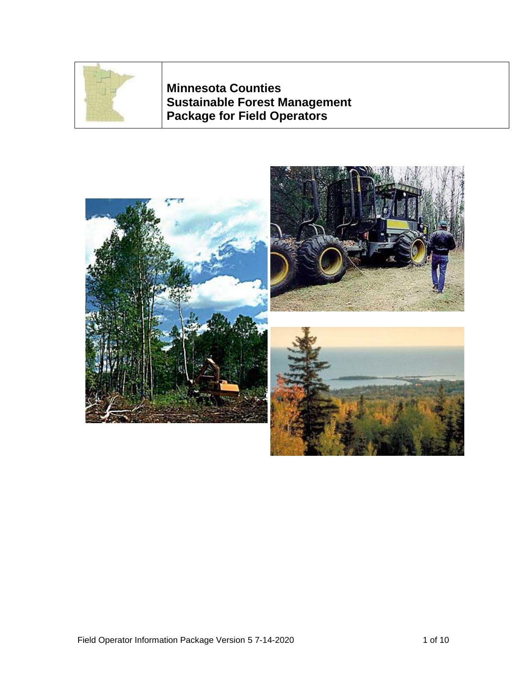

**Minnesota Counties Sustainable Forest Management Package for Field Operators**

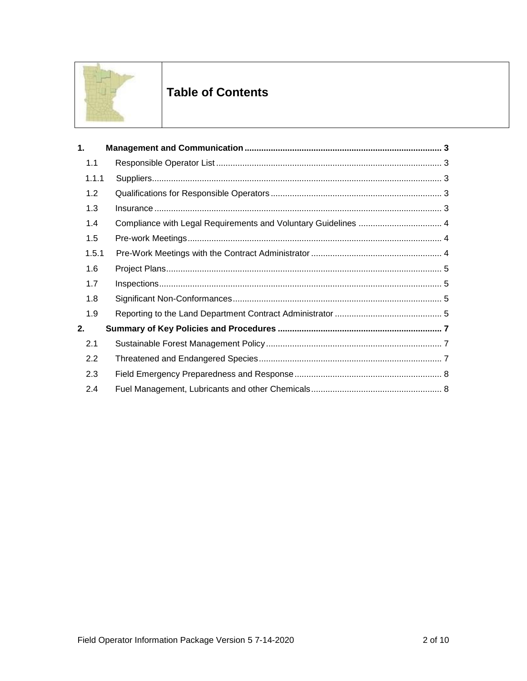

# **Table of Contents**

| 1.    |                                                                |
|-------|----------------------------------------------------------------|
| 1.1   |                                                                |
| 1.1.1 |                                                                |
| 1.2   |                                                                |
| 1.3   |                                                                |
| 1.4   | Compliance with Legal Requirements and Voluntary Guidelines  4 |
| 1.5   |                                                                |
| 1.5.1 |                                                                |
| 1.6   |                                                                |
| 1.7   |                                                                |
| 1.8   |                                                                |
| 1.9   |                                                                |
| 2.    |                                                                |
| 2.1   |                                                                |
| 2.2   |                                                                |
| 2.3   |                                                                |
| 2.4   |                                                                |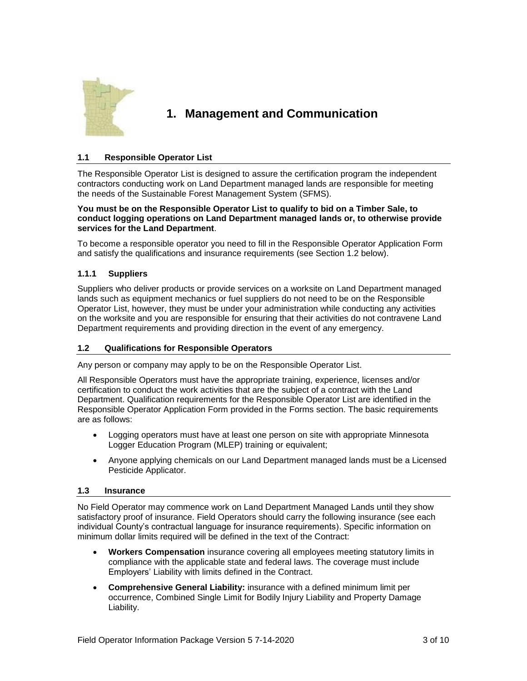

## <span id="page-2-0"></span>**1. Management and Communication**

## <span id="page-2-1"></span>**1.1 Responsible Operator List**

The Responsible Operator List is designed to assure the certification program the independent contractors conducting work on Land Department managed lands are responsible for meeting the needs of the Sustainable Forest Management System (SFMS).

#### **You must be on the Responsible Operator List to qualify to bid on a Timber Sale, to conduct logging operations on Land Department managed lands or, to otherwise provide services for the Land Department**.

To become a responsible operator you need to fill in the Responsible Operator Application Form and satisfy the qualifications and insurance requirements (see Section 1.2 below).

## <span id="page-2-2"></span>**1.1.1 Suppliers**

Suppliers who deliver products or provide services on a worksite on Land Department managed lands such as equipment mechanics or fuel suppliers do not need to be on the Responsible Operator List, however, they must be under your administration while conducting any activities on the worksite and you are responsible for ensuring that their activities do not contravene Land Department requirements and providing direction in the event of any emergency.

## <span id="page-2-3"></span>**1.2 Qualifications for Responsible Operators**

Any person or company may apply to be on the Responsible Operator List.

All Responsible Operators must have the appropriate training, experience, licenses and/or certification to conduct the work activities that are the subject of a contract with the Land Department. Qualification requirements for the Responsible Operator List are identified in the Responsible Operator Application Form provided in the Forms section. The basic requirements are as follows:

- Logging operators must have at least one person on site with appropriate Minnesota Logger Education Program (MLEP) training or equivalent;
- Anyone applying chemicals on our Land Department managed lands must be a Licensed Pesticide Applicator.

#### <span id="page-2-4"></span>**1.3 Insurance**

No Field Operator may commence work on Land Department Managed Lands until they show satisfactory proof of insurance. Field Operators should carry the following insurance (see each individual County's contractual language for insurance requirements). Specific information on minimum dollar limits required will be defined in the text of the Contract:

- **Workers Compensation** insurance covering all employees meeting statutory limits in compliance with the applicable state and federal laws. The coverage must include Employers' Liability with limits defined in the Contract.
- **Comprehensive General Liability:** insurance with a defined minimum limit per occurrence, Combined Single Limit for Bodily Injury Liability and Property Damage Liability.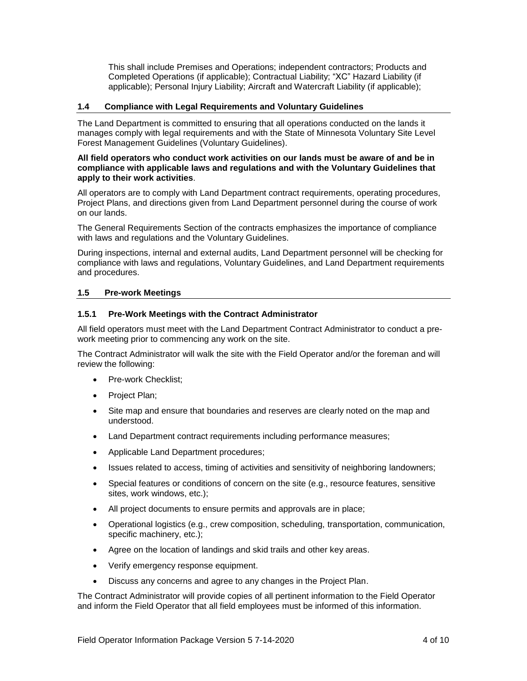This shall include Premises and Operations; independent contractors; Products and Completed Operations (if applicable); Contractual Liability; "XC" Hazard Liability (if applicable); Personal Injury Liability; Aircraft and Watercraft Liability (if applicable);

#### <span id="page-3-0"></span>**1.4 Compliance with Legal Requirements and Voluntary Guidelines**

The Land Department is committed to ensuring that all operations conducted on the lands it manages comply with legal requirements and with the State of Minnesota Voluntary Site Level Forest Management Guidelines (Voluntary Guidelines).

#### **All field operators who conduct work activities on our lands must be aware of and be in compliance with applicable laws and regulations and with the Voluntary Guidelines that apply to their work activities**.

All operators are to comply with Land Department contract requirements, operating procedures, Project Plans, and directions given from Land Department personnel during the course of work on our lands.

The General Requirements Section of the contracts emphasizes the importance of compliance with laws and regulations and the Voluntary Guidelines.

During inspections, internal and external audits, Land Department personnel will be checking for compliance with laws and regulations, Voluntary Guidelines, and Land Department requirements and procedures.

### <span id="page-3-1"></span>**1.5 Pre-work Meetings**

#### <span id="page-3-2"></span>**1.5.1 Pre-Work Meetings with the Contract Administrator**

All field operators must meet with the Land Department Contract Administrator to conduct a prework meeting prior to commencing any work on the site.

The Contract Administrator will walk the site with the Field Operator and/or the foreman and will review the following:

- Pre-work Checklist:
- Project Plan;
- Site map and ensure that boundaries and reserves are clearly noted on the map and understood.
- Land Department contract requirements including performance measures;
- Applicable Land Department procedures;
- Issues related to access, timing of activities and sensitivity of neighboring landowners;
- Special features or conditions of concern on the site (e.g., resource features, sensitive sites, work windows, etc.);
- All project documents to ensure permits and approvals are in place;
- Operational logistics (e.g., crew composition, scheduling, transportation, communication, specific machinery, etc.);
- Agree on the location of landings and skid trails and other key areas.
- Verify emergency response equipment.
- Discuss any concerns and agree to any changes in the Project Plan.

The Contract Administrator will provide copies of all pertinent information to the Field Operator and inform the Field Operator that all field employees must be informed of this information.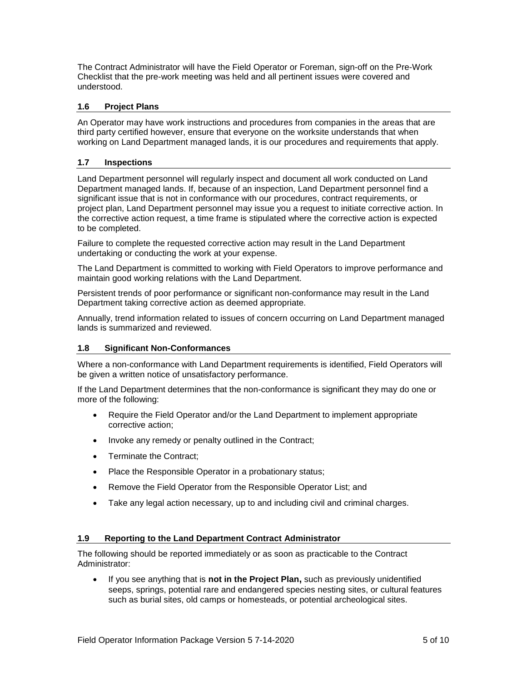The Contract Administrator will have the Field Operator or Foreman, sign-off on the Pre-Work Checklist that the pre-work meeting was held and all pertinent issues were covered and understood.

## <span id="page-4-0"></span>**1.6 Project Plans**

An Operator may have work instructions and procedures from companies in the areas that are third party certified however, ensure that everyone on the worksite understands that when working on Land Department managed lands, it is our procedures and requirements that apply.

#### <span id="page-4-1"></span>**1.7 Inspections**

Land Department personnel will regularly inspect and document all work conducted on Land Department managed lands. If, because of an inspection, Land Department personnel find a significant issue that is not in conformance with our procedures, contract requirements, or project plan, Land Department personnel may issue you a request to initiate corrective action. In the corrective action request, a time frame is stipulated where the corrective action is expected to be completed.

Failure to complete the requested corrective action may result in the Land Department undertaking or conducting the work at your expense.

The Land Department is committed to working with Field Operators to improve performance and maintain good working relations with the Land Department.

Persistent trends of poor performance or significant non-conformance may result in the Land Department taking corrective action as deemed appropriate.

Annually, trend information related to issues of concern occurring on Land Department managed lands is summarized and reviewed.

#### <span id="page-4-2"></span>**1.8 Significant Non-Conformances**

Where a non-conformance with Land Department requirements is identified, Field Operators will be given a written notice of unsatisfactory performance.

If the Land Department determines that the non-conformance is significant they may do one or more of the following:

- Require the Field Operator and/or the Land Department to implement appropriate corrective action;
- Invoke any remedy or penalty outlined in the Contract;
- Terminate the Contract;
- Place the Responsible Operator in a probationary status;
- Remove the Field Operator from the Responsible Operator List; and
- Take any legal action necessary, up to and including civil and criminal charges.

#### <span id="page-4-3"></span>**1.9 Reporting to the Land Department Contract Administrator**

The following should be reported immediately or as soon as practicable to the Contract Administrator:

 If you see anything that is **not in the Project Plan,** such as previously unidentified seeps, springs, potential rare and endangered species nesting sites, or cultural features such as burial sites, old camps or homesteads, or potential archeological sites.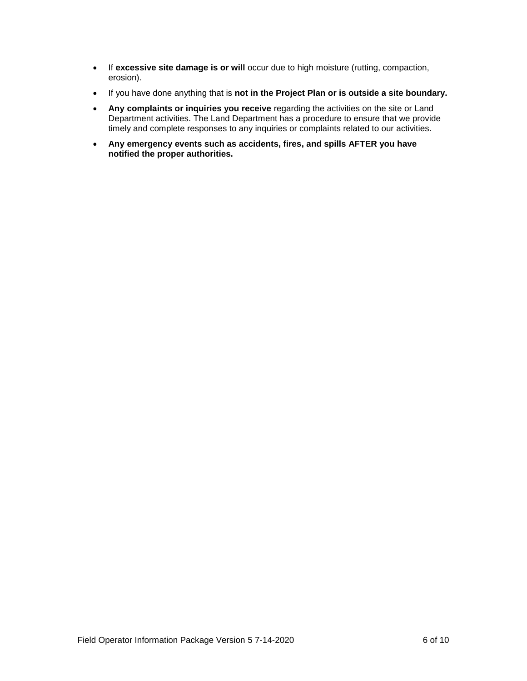- **If excessive site damage is or will** occur due to high moisture (rutting, compaction, erosion).
- If you have done anything that is **not in the Project Plan or is outside a site boundary.**
- **Any complaints or inquiries you receive** regarding the activities on the site or Land Department activities. The Land Department has a procedure to ensure that we provide timely and complete responses to any inquiries or complaints related to our activities.
- **Any emergency events such as accidents, fires, and spills AFTER you have notified the proper authorities.**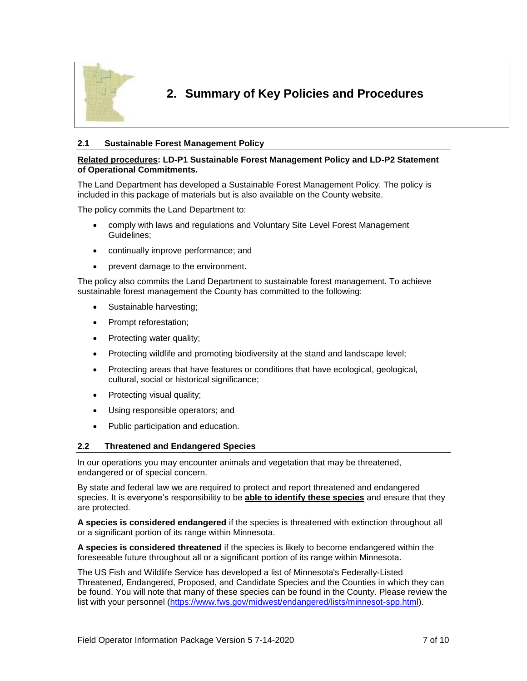

## <span id="page-6-0"></span>**2. Summary of Key Policies and Procedures**

### <span id="page-6-1"></span>**2.1 Sustainable Forest Management Policy**

#### **Related procedures: LD-P1 Sustainable Forest Management Policy and LD-P2 Statement of Operational Commitments.**

The Land Department has developed a Sustainable Forest Management Policy. The policy is included in this package of materials but is also available on the County website.

The policy commits the Land Department to:

- comply with laws and regulations and Voluntary Site Level Forest Management Guidelines;
- continually improve performance; and
- prevent damage to the environment.

The policy also commits the Land Department to sustainable forest management. To achieve sustainable forest management the County has committed to the following:

- Sustainable harvesting;
- Prompt reforestation;
- Protecting water quality;
- Protecting wildlife and promoting biodiversity at the stand and landscape level;
- Protecting areas that have features or conditions that have ecological, geological, cultural, social or historical significance;
- Protecting visual quality;
- Using responsible operators; and
- Public participation and education.

#### <span id="page-6-2"></span>**2.2 Threatened and Endangered Species**

In our operations you may encounter animals and vegetation that may be threatened, endangered or of special concern.

By state and federal law we are required to protect and report threatened and endangered species. It is everyone's responsibility to be **able to identify these species** and ensure that they are protected.

**A species is considered endangered** if the species is threatened with extinction throughout all or a significant portion of its range within Minnesota.

**A species is considered threatened** if the species is likely to become endangered within the foreseeable future throughout all or a significant portion of its range within Minnesota.

The US Fish and Wildlife Service has developed a list of Minnesota's Federally-Listed Threatened, Endangered, Proposed, and Candidate Species and the Counties in which they can be found. You will note that many of these species can be found in the County. Please review the list with your personnel [\(https://www.fws.gov/midwest/endangered/lists/minnesot-spp.html\)](https://www.fws.gov/midwest/endangered/lists/minnesot-spp.html).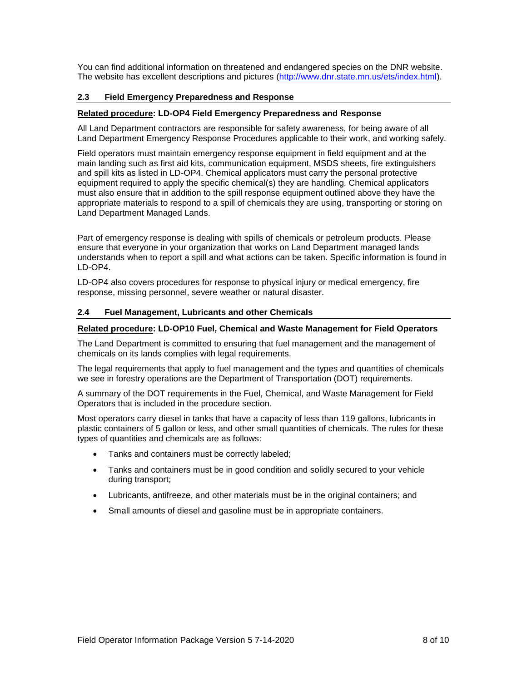You can find additional information on threatened and endangered species on the DNR website. The website has excellent descriptions and pictures [\(http://www.dnr.state.mn.us/ets/index.html\)](http://www.dnr.state.mn.us/ets/index.html).

## <span id="page-7-0"></span>**2.3 Field Emergency Preparedness and Response**

#### **Related procedure: LD-OP4 Field Emergency Preparedness and Response**

All Land Department contractors are responsible for safety awareness, for being aware of all Land Department Emergency Response Procedures applicable to their work, and working safely.

Field operators must maintain emergency response equipment in field equipment and at the main landing such as first aid kits, communication equipment, MSDS sheets, fire extinguishers and spill kits as listed in LD-OP4. Chemical applicators must carry the personal protective equipment required to apply the specific chemical(s) they are handling. Chemical applicators must also ensure that in addition to the spill response equipment outlined above they have the appropriate materials to respond to a spill of chemicals they are using, transporting or storing on Land Department Managed Lands.

Part of emergency response is dealing with spills of chemicals or petroleum products. Please ensure that everyone in your organization that works on Land Department managed lands understands when to report a spill and what actions can be taken. Specific information is found in LD-OP4.

LD-OP4 also covers procedures for response to physical injury or medical emergency, fire response, missing personnel, severe weather or natural disaster.

#### <span id="page-7-1"></span>**2.4 Fuel Management, Lubricants and other Chemicals**

#### **Related procedure: LD-OP10 Fuel, Chemical and Waste Management for Field Operators**

The Land Department is committed to ensuring that fuel management and the management of chemicals on its lands complies with legal requirements.

The legal requirements that apply to fuel management and the types and quantities of chemicals we see in forestry operations are the Department of Transportation (DOT) requirements.

A summary of the DOT requirements in the Fuel, Chemical, and Waste Management for Field Operators that is included in the procedure section.

Most operators carry diesel in tanks that have a capacity of less than 119 gallons, lubricants in plastic containers of 5 gallon or less, and other small quantities of chemicals. The rules for these types of quantities and chemicals are as follows:

- Tanks and containers must be correctly labeled;
- Tanks and containers must be in good condition and solidly secured to your vehicle during transport;
- Lubricants, antifreeze, and other materials must be in the original containers; and
- Small amounts of diesel and gasoline must be in appropriate containers.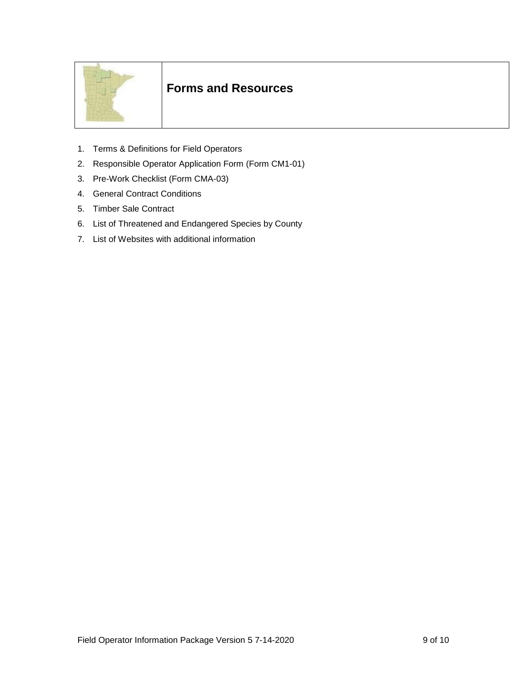

# **Forms and Resources**

- 1. Terms & Definitions for Field Operators
- 2. Responsible Operator Application Form (Form CM1-01)
- 3. Pre-Work Checklist (Form CMA-03)
- 4. General Contract Conditions
- 5. Timber Sale Contract
- 6. List of Threatened and Endangered Species by County
- 7. List of Websites with additional information